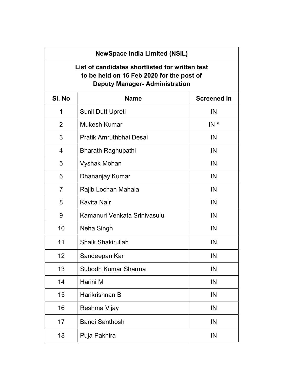## NewSpace India Limited (NSIL)

## List of candidates shortlisted for written test to be held on 16 Feb 2020 for the post of Deputy Manager- Administration

| SI. No         | <b>Name</b>                  | <b>Screened In</b> |
|----------------|------------------------------|--------------------|
| 1              | Sunil Dutt Upreti            | IN                 |
| $\overline{2}$ | <b>Mukesh Kumar</b>          | $IN^*$             |
| 3              | Pratik Amruthbhai Desai      | IN                 |
| $\overline{4}$ | <b>Bharath Raghupathi</b>    | IN                 |
| 5              | <b>Vyshak Mohan</b>          | IN                 |
| 6              | Dhananjay Kumar              | IN                 |
| $\overline{7}$ | Rajib Lochan Mahala          | IN                 |
| 8              | <b>Kavita Nair</b>           | IN                 |
| 9              | Kamanuri Venkata Srinivasulu | IN                 |
| 10             | Neha Singh                   | IN                 |
| 11             | <b>Shaik Shakirullah</b>     | IN                 |
| 12             | Sandeepan Kar                | IN                 |
| 13             | Subodh Kumar Sharma          | IN                 |
| 14             | Harini M                     | IN                 |
| 15             | Harikrishnan B               | IN                 |
| 16             | Reshma Vijay                 | IN                 |
| 17             | <b>Bandi Santhosh</b>        | IN                 |
| 18             | Puja Pakhira                 | IN                 |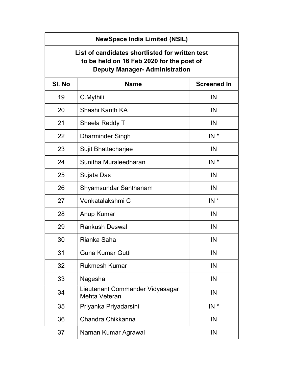| <b>NewSpace India Limited (NSIL)</b>                                                                                                  |                                                         |                    |  |  |
|---------------------------------------------------------------------------------------------------------------------------------------|---------------------------------------------------------|--------------------|--|--|
| List of candidates shortlisted for written test<br>to be held on 16 Feb 2020 for the post of<br><b>Deputy Manager- Administration</b> |                                                         |                    |  |  |
| SI. No                                                                                                                                | <b>Name</b>                                             | <b>Screened In</b> |  |  |
| 19                                                                                                                                    | C.Mythili                                               | IN                 |  |  |
| 20                                                                                                                                    | Shashi Kanth KA                                         | IN                 |  |  |
| 21                                                                                                                                    | Sheela Reddy T                                          | IN                 |  |  |
| 22                                                                                                                                    | <b>Dharminder Singh</b>                                 | $IN^*$             |  |  |
| 23                                                                                                                                    | Sujit Bhattacharjee                                     | IN                 |  |  |
| 24                                                                                                                                    | Sunitha Muraleedharan                                   | $IN^*$             |  |  |
| 25                                                                                                                                    | Sujata Das                                              | IN                 |  |  |
| 26                                                                                                                                    | Shyamsundar Santhanam                                   | IN                 |  |  |
| 27                                                                                                                                    | Venkatalakshmi C                                        | $IN^*$             |  |  |
| 28                                                                                                                                    | Anup Kumar                                              | IN                 |  |  |
| 29                                                                                                                                    | <b>Rankush Deswal</b>                                   | IN                 |  |  |
| 30                                                                                                                                    | Rianka Saha                                             | IN                 |  |  |
| 31                                                                                                                                    | <b>Guna Kumar Gutti</b>                                 | IN                 |  |  |
| 32                                                                                                                                    | <b>Rukmesh Kumar</b>                                    | IN                 |  |  |
| 33                                                                                                                                    | Nagesha                                                 | IN                 |  |  |
| 34                                                                                                                                    | Lieutenant Commander Vidyasagar<br><b>Mehta Veteran</b> | IN                 |  |  |
| 35                                                                                                                                    | Priyanka Priyadarsini                                   | $IN^*$             |  |  |
| 36                                                                                                                                    | Chandra Chikkanna                                       | IN                 |  |  |
| 37                                                                                                                                    | Naman Kumar Agrawal                                     | IN                 |  |  |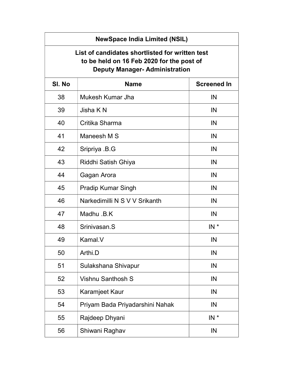| <b>NewSpace India Limited (NSIL)</b>                                                                                                  |                                 |                    |  |  |
|---------------------------------------------------------------------------------------------------------------------------------------|---------------------------------|--------------------|--|--|
| List of candidates shortlisted for written test<br>to be held on 16 Feb 2020 for the post of<br><b>Deputy Manager- Administration</b> |                                 |                    |  |  |
| SI. No                                                                                                                                | <b>Name</b>                     | <b>Screened In</b> |  |  |
| 38                                                                                                                                    | Mukesh Kumar Jha                | IN                 |  |  |
| 39                                                                                                                                    | Jisha K N                       | IN                 |  |  |
| 40                                                                                                                                    | Critika Sharma                  | IN                 |  |  |
| 41                                                                                                                                    | Maneesh M S                     | IN                 |  |  |
| 42                                                                                                                                    | Sripriya .B.G                   | IN                 |  |  |
| 43                                                                                                                                    | Riddhi Satish Ghiya             | IN                 |  |  |
| 44                                                                                                                                    | Gagan Arora                     | IN                 |  |  |
| 45                                                                                                                                    | <b>Pradip Kumar Singh</b>       | IN                 |  |  |
| 46                                                                                                                                    | Narkedimilli N S V V Srikanth   | IN                 |  |  |
| 47                                                                                                                                    | Madhu .B.K                      | IN                 |  |  |
| 48                                                                                                                                    | Srinivasan.S                    | $IN^*$             |  |  |
| 49                                                                                                                                    | Kamal.V                         | IN                 |  |  |
| 50                                                                                                                                    | Arthi.D                         | IN                 |  |  |
| 51                                                                                                                                    | Sulakshana Shivapur             | IN                 |  |  |
| 52                                                                                                                                    | Vishnu Santhosh S               | IN                 |  |  |
| 53                                                                                                                                    | Karamjeet Kaur                  | IN                 |  |  |
| 54                                                                                                                                    | Priyam Bada Priyadarshini Nahak | IN                 |  |  |
| 55                                                                                                                                    | Rajdeep Dhyani                  | $IN^*$             |  |  |
| 56                                                                                                                                    | Shiwani Raghav                  | IN                 |  |  |